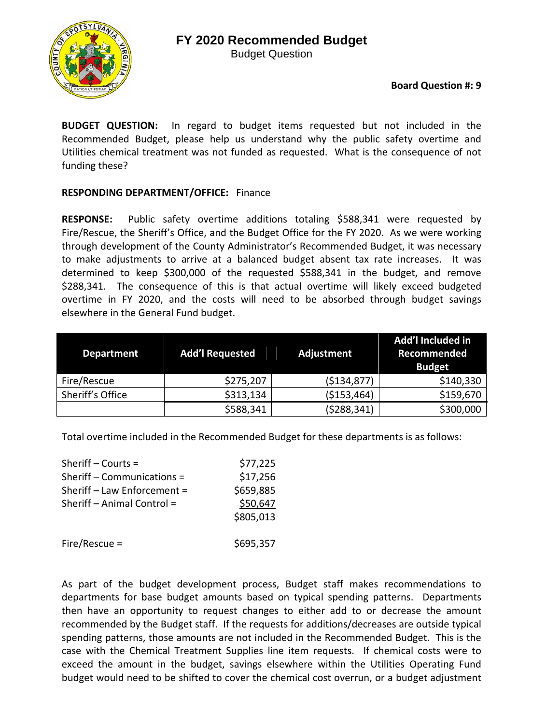## **FY 2020 Recommended Budget**

Budget Question



**BUDGET QUESTION:** In regard to budget items requested but not included in the Recommended Budget, please help us understand why the public safety overtime and Utilities chemical treatment was not funded as requested. What is the consequence of not funding these?

## **RESPONDING DEPARTMENT/OFFICE:** Finance

**RESPONSE:**  Public safety overtime additions totaling \$588,341 were requested by Fire/Rescue, the Sheriff's Office, and the Budget Office for the FY 2020. As we were working through development of the County Administrator's Recommended Budget, it was necessary to make adjustments to arrive at a balanced budget absent tax rate increases. It was determined to keep \$300,000 of the requested \$588,341 in the budget, and remove \$288,341. The consequence of this is that actual overtime will likely exceed budgeted overtime in FY 2020, and the costs will need to be absorbed through budget savings elsewhere in the General Fund budget.

| <b>Department</b> | <b>Add'l Requested</b> | Adjustment    | Add'l Included in<br>Recommended<br><b>Budget</b> |
|-------------------|------------------------|---------------|---------------------------------------------------|
| Fire/Rescue       | \$275,207              | ( \$134, 877) | \$140,330                                         |
| Sheriff's Office  | \$313,134              | ( \$153,464)  | \$159,670                                         |
|                   | \$588,341              | (5288, 341)   | \$300,000                                         |

Total overtime included in the Recommended Budget for these departments is as follows:

| Sheriff $-$ Courts $=$      | \$77,225  |
|-----------------------------|-----------|
| Sheriff - Communications =  | \$17,256  |
| Sheriff - Law Enforcement = | \$659,885 |
| Sheriff - Animal Control =  | \$50,647  |
|                             | \$805,013 |
| $Fire/Resource =$           | \$695,357 |

As part of the budget development process, Budget staff makes recommendations to departments for base budget amounts based on typical spending patterns. Departments then have an opportunity to request changes to either add to or decrease the amount recommended by the Budget staff. If the requests for additions/decreases are outside typical spending patterns, those amounts are not included in the Recommended Budget. This is the case with the Chemical Treatment Supplies line item requests. If chemical costs were to exceed the amount in the budget, savings elsewhere within the Utilities Operating Fund budget would need to be shifted to cover the chemical cost overrun, or a budget adjustment